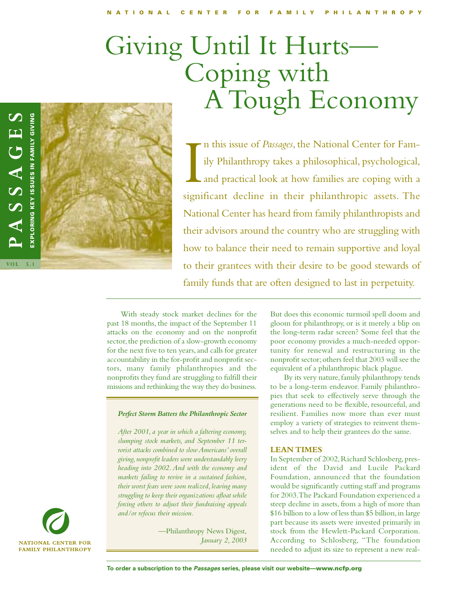# Giving Until It Hurts— Coping with A Tough Economy



I n this issue of *Passages*, the National Center for Family Philanthropy takes a philosophical, psychological, and practical look at how families are coping with a significant decline in their philanthropic assets. The National Center has heard from family philanthropists and their advisors around the country who are struggling with how to balance their need to remain supportive and loyal to their grantees with their desire to be good stewards of family funds that are often designed to last in perpetuity.

With steady stock market declines for the past 18 months, the impact of the September 11 attacks on the economy and on the nonprofit sector, the prediction of a slow-growth economy for the next five to ten years, and calls for greater accountability in the for-profit and nonprofit sectors, many family philanthropies and the nonprofits they fund are struggling to fulfill their missions and rethinking the way they do business.

#### *Perfect Storm Batters the Philanthropic Sector*

*After 2001, a year in which a faltering economy, slumping stock markets, and September 11 terrorist attacks combined to slow Americans' overall giving,nonprofit leaders were understandably leery heading into 2002. And with the economy and markets failing to revive in a sustained fashion, their worst fears were soon realized, leaving many struggling to keep their organizations afloat while forcing others to adjust their fundraising appeals and/or refocus their mission.*

> *—*Philanthropy News Digest, *January 2, 2003*

But does this economic turmoil spell doom and gloom for philanthropy, or is it merely a blip on the long-term radar screen? Some feel that the poor economy provides a much-needed opportunity for renewal and restructuring in the nonprofit sector;others feel that 2003 will see the equivalent of a philanthropic black plague.

By its very nature, family philanthropy tends to be a long-term endeavor. Family philanthropies that seek to effectively serve through the generations need to be flexible, resourceful, and resilient. Families now more than ever must employ a variety of strategies to reinvent themselves and to help their grantees do the same.

## **LEAN TIMES**

In September of 2002, Richard Schlosberg, president of the David and Lucile Packard Foundation, announced that the foundation would be significantly cutting staff and programs for 2003.The Packard Foundation experienced a steep decline in assets, from a high of more than \$16 billion to a low of less than \$5 billion,in large part because its assets were invested primarily in stock from the Hewlett-Packard Corporation. According to Schlosberg, "The foundation needed to adjust its size to represent a new real-

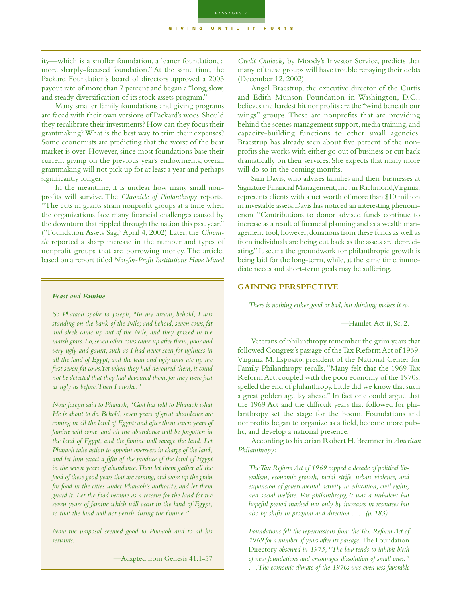PASSAGES 2

ity—which is a smaller foundation, a leaner foundation, a more sharply-focused foundation." At the same time, the Packard Foundation's board of directors approved a 2003 payout rate of more than 7 percent and began a "long, slow, and steady diversification of its stock assets program."

Many smaller family foundations and giving programs are faced with their own versions of Packard's woes.Should they recalibrate their investments? How can they focus their grantmaking? What is the best way to trim their expenses? Some economists are predicting that the worst of the bear market is over. However, since most foundations base their current giving on the previous year's endowments, overall grantmaking will not pick up for at least a year and perhaps significantly longer.

In the meantime, it is unclear how many small nonprofits will survive. The *Chronicle of Philanthropy* reports, "The cuts in grants strain nonprofit groups at a time when the organizations face many financial challenges caused by the downturn that rippled through the nation this past year." ("Foundation Assets Sag,"April 4, 2002) Later, the *Chronicle* reported a sharp increase in the number and types of nonprofit groups that are borrowing money. The article, based on a report titled *Not-for-Profit Institutions Have Mixed*

#### *Feast and Famine*

*So Pharaoh spoke to Joseph, "In my dream, behold, I was standing on the bank of the Nile; and behold, seven cows, fat and sleek came up out of the Nile, and they grazed in the* marsh grass. Lo, seven other cows came up after them, poor and *very ugly and gaunt, such as I had never seen for ugliness in all the land of Egypt; and the lean and ugly cows ate up the first seven fat cows.Yet when they had devoured them,it could not be detected that they had devoured them,for they were just as ugly as before.Then I awoke."*

*Now Joseph said to Pharaoh,"God has told to Pharaoh what He is about to do. Behold, seven years of great abundance are coming in all the land of Egypt; and after them seven years of famine will come, and all the abundance will be forgotten in the land of Egypt, and the famine will ravage the land. Let Pharaoh take action to appoint overseers in charge of the land, and let him exact a fifth of the produce of the land of Egypt in the seven years of abundance.Then let them gather all the food of these good years that are coming,and store up the grain for food in the cities under Pharaoh's authority, and let them guard it. Let the food become as a reserve for the land for the seven years of famine which will occur in the land of Egypt, so that the land will not perish during the famine."*

*Now the proposal seemed good to Pharaoh and to all his servants.*

—Adapted from Genesis 41:1-57

*Credit Outlook,* by Moody's Investor Service, predicts that many of these groups will have trouble repaying their debts (December 12, 2002).

Angel Braestrup, the executive director of the Curtis and Edith Munson Foundation in Washington, D.C., believes the hardest hit nonprofits are the "wind beneath our wings" groups. These are nonprofits that are providing behind the scenes management support, media training, and capacity-building functions to other small agencies. Braestrup has already seen about five percent of the nonprofits she works with either go out of business or cut back dramatically on their services. She expects that many more will do so in the coming months.

Sam Davis, who advises families and their businesses at Signature Financial Management,Inc.,in Richmond,Virginia, represents clients with a net worth of more than \$10 million in investable assets.Davis has noticed an interesting phenomenon: "Contributions to donor advised funds continue to increase as a result of financial planning and as a wealth management tool; however, donations from these funds as well as from individuals are being cut back as the assets are depreciating." It seems the groundwork for philanthropic growth is being laid for the long-term, while, at the same time, immediate needs and short-term goals may be suffering.

# **GAINING PERSPECTIVE**

*There is nothing either good or bad, but thinking makes it so.*

—Hamlet,Act ii, Sc. 2.

Veterans of philanthropy remember the grim years that followed Congress's passage of the Tax Reform Act of 1969. Virginia M. Esposito, president of the National Center for Family Philanthropy recalls, "Many felt that the 1969 Tax Reform Act, coupled with the poor economy of the 1970s, spelled the end of philanthropy.Little did we know that such a great golden age lay ahead." In fact one could argue that the 1969 Act and the difficult years that followed for philanthropy set the stage for the boom. Foundations and nonprofits began to organize as a field, become more public, and develop a national presence.

According to historian Robert H.Bremner in *American Philanthropy:*

*The Tax Reform Act of 1969 capped a decade of political liberalism, economic growth, racial strife, urban violence, and expansion of governmental activity in education, civil rights, and social welfare. For philanthropy, it was a turbulent but hopeful period marked not only by increases in resources but also by shifts in program and direction . . . . (p. 183)*

*Foundations felt the repercussions from the Tax Reform Act of 1969 for a number of years after its passage.*The Foundation Directory *observed in 1975,"The law tends to inhibit birth of new foundations and encourages dissolution of small ones." . . .The economic climate of the 1970s was even less favorable*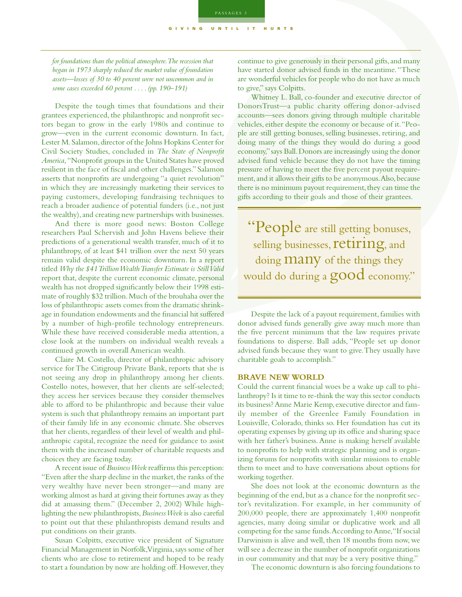*for foundations than the political atmosphere.The recession that began in 1973 sharply reduced the market value of foundation assets—losses of 30 to 40 percent were not uncommon and in some cases exceeded 60 percent . . . . (pp. 190–191)*

Despite the tough times that foundations and their grantees experienced, the philanthropic and nonprofit sectors began to grow in the early 1980s and continue to grow—even in the current economic downturn. In fact, Lester M. Salamon, director of the Johns Hopkins Center for Civil Society Studies, concluded in *The State of Nonprofit America,*"Nonprofit groups in the United States have proved resilient in the face of fiscal and other challenges." Salamon asserts that nonprofits are undergoing "a quiet revolution" in which they are increasingly marketing their services to paying customers, developing fundraising techniques to reach a broader audience of potential funders (i.e., not just the wealthy), and creating new partnerships with businesses.

And there is more good news: Boston College researchers Paul Schervish and John Havens believe their predictions of a generational wealth transfer, much of it to philanthropy, of at least \$41 trillion over the next 50 years remain valid despite the economic downturn. In a report titled *Why the \$41 Trillion Wealth Transfer Estimate is Still Valid* report that, despite the current economic climate, personal wealth has not dropped significantly below their 1998 estimate of roughly \$32 trillion.Much of the brouhaha over the loss of philanthropic assets comes from the dramatic shrinkage in foundation endowments and the financial hit suffered by a number of high-profile technology entrepreneurs. While these have received considerable media attention, a close look at the numbers on individual wealth reveals a continued growth in overall American wealth.

Claire M. Costello, director of philanthropic advisory service for The Citigroup Private Bank, reports that she is not seeing any drop in philanthropy among her clients. Costello notes, however, that her clients are self-selected; they access her services because they consider themselves able to afford to be philanthropic and because their value system is such that philanthropy remains an important part of their family life in any economic climate. She observes that her clients, regardless of their level of wealth and philanthropic capital, recognize the need for guidance to assist them with the increased number of charitable requests and choices they are facing today.

A recent issue of *Business Week* reaffirms this perception: "Even after the sharp decline in the market, the ranks of the very wealthy have never been stronger—and many are working almost as hard at giving their fortunes away as they did at amassing them." (December 2, 2002) While highlighting the new philanthropists,*Business Week* is also careful to point out that these philanthropists demand results and put conditions on their grants.

Susan Colpitts, executive vice president of Signature Financial Management in Norfolk,Virginia,says some of her clients who are close to retirement and hoped to be ready to start a foundation by now are holding off. However, they continue to give generously in their personal gifts, and many have started donor advised funds in the meantime."These are wonderful vehicles for people who do not have as much to give," says Colpitts.

Whitney L. Ball, co-founder and executive director of DonorsTrust—a public charity offering donor-advised accounts—sees donors giving through multiple charitable vehicles, either despite the economy or because of it."People are still getting bonuses, selling businesses, retiring, and doing many of the things they would do during a good economy,"says Ball.Donors are increasingly using the donor advised fund vehicle because they do not have the timing pressure of having to meet the five percent payout requirement, and it allows their gifts to be anonymous. Also, because there is no minimum payout requirement, they can time the gifts according to their goals and those of their grantees.

"People are still getting bonuses, selling businesses, retiring, and doing **Many** of the things they would do during a **good** economy."

Despite the lack of a payout requirement, families with donor advised funds generally give away much more than the five percent minimum that the law requires private foundations to disperse. Ball adds, "People set up donor advised funds because they want to give.They usually have charitable goals to accomplish."

## **BRAVE NEW WORLD**

Could the current financial woes be a wake up call to philanthropy? Is it time to re-think the way this sector conducts its business? Anne Marie Kemp, executive director and family member of the Greenlee Family Foundation in Louisville, Colorado, thinks so. Her foundation has cut its operating expenses by giving up its office and sharing space with her father's business.Anne is making herself available to nonprofits to help with strategic planning and is organizing forums for nonprofits with similar missions to enable them to meet and to have conversations about options for working together.

She does not look at the economic downturn as the beginning of the end, but as a chance for the nonprofit sector's revitalization. For example, in her community of 200,000 people, there are approximately 1,400 nonprofit agencies, many doing similar or duplicative work and all competing for the same funds.According to Anne,"If social Darwinism is alive and well, then 18 months from now, we will see a decrease in the number of nonprofit organizations in our community and that may be a very positive thing."

The economic downturn is also forcing foundations to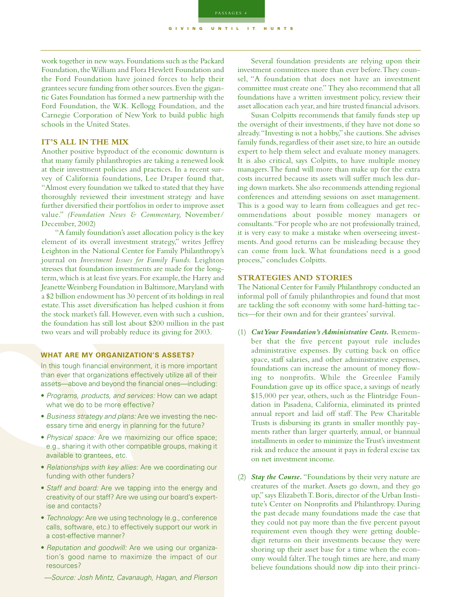work together in new ways.Foundations such as the Packard Foundation, the William and Flora Hewlett Foundation and the Ford Foundation have joined forces to help their grantees secure funding from other sources.Even the gigantic Gates Foundation has formed a new partnership with the Ford Foundation, the W.K. Kellogg Foundation, and the Carnegie Corporation of New York to build public high schools in the United States.

# **IT'S ALL IN THE MIX**

Another positive byproduct of the economic downturn is that many family philanthropies are taking a renewed look at their investment policies and practices. In a recent survey of California foundations, Lee Draper found that, "Almost every foundation we talked to stated that they have thoroughly reviewed their investment strategy and have further diversified their portfolios in order to improve asset value." *(Foundation News & Commentary,* November/ December, 2002)

"A family foundation's asset allocation policy is the key element of its overall investment strategy," writes Jeffrey Leighton in the National Center for Family Philanthropy's journal on *Investment Issues for Family Funds.* Leighton stresses that foundation investments are made for the longterm, which is at least five years. For example, the Harry and Jeanette Weinberg Foundation in Baltimore, Maryland with a \$2 billion endowment has 30 percent of its holdings in real estate.This asset diversification has helped cushion it from the stock market's fall. However, even with such a cushion, the foundation has still lost about \$200 million in the past two years and will probably reduce its giving for 2003.

## **WHAT ARE MY ORGANIZATION'S ASSETS?**

In this tough financial environment, it is more important than ever that organizations effectively utilize all of their assets—above and beyond the financial ones—including:

- Programs, products, and services: How can we adapt what we do to be more effective?
- Business strategy and plans: Are we investing the necessary time and energy in planning for the future?
- Physical space: Are we maximizing our office space; e.g., sharing it with other compatible groups, making it available to grantees, etc.
- Relationships with key allies: Are we coordinating our funding with other funders?
- Staff and board: Are we tapping into the energy and creativity of our staff? Are we using our board's expertise and contacts?
- Technology: Are we using technology (e.g., conference calls, software, etc.) to effectively support our work in a cost-effective manner?
- Reputation and goodwill: Are we using our organization's good name to maximize the impact of our resources?
- —Source: Josh Mintz, Cavanaugh, Hagan, and Pierson

Several foundation presidents are relying upon their investment committees more than ever before.They counsel, "A foundation that does not have an investment committee must create one." They also recommend that all foundations have a written investment policy, review their asset allocation each year, and hire trusted financial advisors.

Susan Colpitts recommends that family funds step up the oversight of their investments, if they have not done so already."Investing is not a hobby," she cautions. She advises family funds, regardless of their asset size, to hire an outside expert to help them select and evaluate money managers. It is also critical, says Colpitts, to have multiple money managers.The fund will more than make up for the extra costs incurred because its assets will suffer much less during down markets.She also recommends attending regional conferences and attending sessions on asset management. This is a good way to learn from colleagues and get recommendations about possible money managers or consultants."For people who are not professionally trained, it is very easy to make a mistake when overseeing investments. And good returns can be misleading because they can come from luck. What foundations need is a good process," concludes Colpitts.

# **STRATEGIES AND STORIES**

The National Center for Family Philanthropy conducted an informal poll of family philanthropies and found that most are tackling the soft economy with some hard-hitting tactics—for their own and for their grantees' survival.

- (1) *Cut Your Foundation's Administrative Costs.* Remember that the five percent payout rule includes administrative expenses. By cutting back on office space, staff salaries, and other administrative expenses, foundations can increase the amount of money flowing to nonprofits. While the Greenlee Family Foundation gave up its office space, a savings of nearly \$15,000 per year, others, such as the Flintridge Foundation in Pasadena, California, eliminated its printed annual report and laid off staff. The Pew Charitable Trusts is disbursing its grants in smaller monthly payments rather than larger quarterly, annual, or biannual installments in order to minimize the Trust's investment risk and reduce the amount it pays in federal excise tax on net investment income.
- (2) *Stay the Course.* "Foundations by their very nature are creatures of the market. Assets go down, and they go up," says Elizabeth T. Boris, director of the Urban Institute's Center on Nonprofits and Philanthropy. During the past decade many foundations made the case that they could not pay more than the five percent payout requirement even though they were getting doubledigit returns on their investments because they were shoring up their asset base for a time when the economy would falter.The tough times are here, and many believe foundations should now dip into their princi-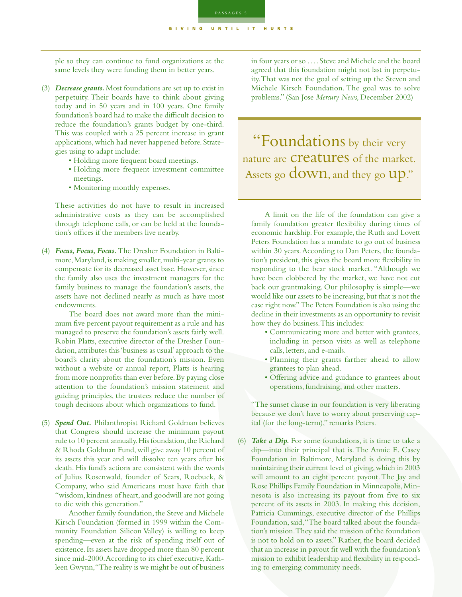ple so they can continue to fund organizations at the same levels they were funding them in better years.

- (3) *Decrease grants.*Most foundations are set up to exist in perpetuity. Their boards have to think about giving today and in 50 years and in 100 years. One family foundation's board had to make the difficult decision to reduce the foundation's grants budget by one-third. This was coupled with a 25 percent increase in grant applications, which had never happened before. Strategies using to adapt include:
	- Holding more frequent board meetings.
	- Holding more frequent investment committee meetings.
	- Monitoring monthly expenses.

These activities do not have to result in increased administrative costs as they can be accomplished through telephone calls, or can be held at the foundation's offices if the members live nearby.

(4) *Focus, Focus, Focus.* The Dresher Foundation in Baltimore, Maryland, is making smaller, multi-year grants to compensate for its decreased asset base. However, since the family also uses the investment managers for the family business to manage the foundation's assets, the assets have not declined nearly as much as have most endowments.

The board does not award more than the minimum five percent payout requirement as a rule and has managed to preserve the foundation's assets fairly well. Robin Platts, executive director of the Dresher Foundation, attributes this 'business as usual' approach to the board's clarity about the foundation's mission. Even without a website or annual report, Platts is hearing from more nonprofits than ever before.By paying close attention to the foundation's mission statement and guiding principles, the trustees reduce the number of tough decisions about which organizations to fund.

(5) *Spend Out.* Philanthropist Richard Goldman believes that Congress should increase the minimum payout rule to 10 percent annually. His foundation, the Richard & Rhoda Goldman Fund, will give away 10 percent of its assets this year and will dissolve ten years after his death. His fund's actions are consistent with the words of Julius Rosenwald, founder of Sears, Roebuck, & Company, who said Americans must have faith that "wisdom, kindness of heart, and goodwill are not going to die with this generation."

Another family foundation, the Steve and Michele Kirsch Foundation (formed in 1999 within the Community Foundation Silicon Valley) is willing to keep spending—even at the risk of spending itself out of existence. Its assets have dropped more than 80 percent since mid-2000. According to its chief executive, Kathleen Gwynn,"The reality is we might be out of business

in four years or so ....Steve and Michele and the board agreed that this foundation might not last in perpetuity.That was not the goal of setting up the Steven and Michele Kirsch Foundation. The goal was to solve problems." (San Jose *Mercury News,* December 2002)

"Foundations by their very nature are creatures of the market. Assets go  $down$ , and they go **up**."

A limit on the life of the foundation can give a family foundation greater flexibility during times of economic hardship. For example, the Ruth and Lovett Peters Foundation has a mandate to go out of business within 30 years.According to Dan Peters, the foundation's president, this gives the board more flexibility in responding to the bear stock market. "Although we have been clobbered by the market, we have not cut back our grantmaking. Our philosophy is simple—we would like our assets to be increasing, but that is not the case right now."The Peters Foundation is also using the decline in their investments as an opportunity to revisit how they do business.This includes:

- Communicating more and better with grantees, including in person visits as well as telephone calls, letters, and e-mails.
- Planning their grants farther ahead to allow grantees to plan ahead.
- Offering advice and guidance to grantees about operations, fundraising, and other matters.

"The sunset clause in our foundation is very liberating because we don't have to worry about preserving capital (for the long-term)," remarks Peters.

(6) *Take a Dip.* For some foundations, it is time to take a dip—into their principal that is. The Annie E. Casey Foundation in Baltimore, Maryland is doing this by maintaining their current level of giving, which in 2003 will amount to an eight percent payout. The Jay and Rose Phillips Family Foundation in Minneapolis, Minnesota is also increasing its payout from five to six percent of its assets in 2003. In making this decision, Patricia Cummings, executive director of the Phillips Foundation, said,"The board talked about the foundation's mission.They said the mission of the foundation is not to hold on to assets." Rather, the board decided that an increase in payout fit well with the foundation's mission to exhibit leadership and flexibility in responding to emerging community needs.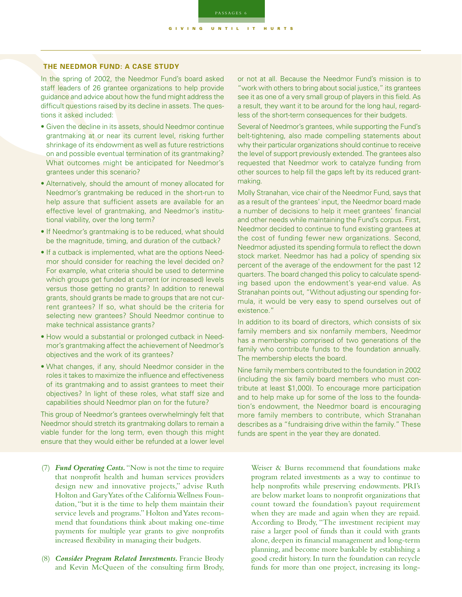# **THE NEEDMOR FUND: A CASE STUDY**

In the spring of 2002, the Needmor Fund's board asked staff leaders of 26 grantee organizations to help provide guidance and advice about how the fund might address the difficult questions raised by its decline in assets. The questions it asked included:

- Given the decline in its assets, should Needmor continue grantmaking at or near its current level, risking further shrinkage of its endowment as well as future restrictions on and possible eventual termination of its grantmaking? What outcomes might be anticipated for Needmor's grantees under this scenario?
- Alternatively, should the amount of money allocated for Needmor's grantmaking be reduced in the short-run to help assure that sufficient assets are available for an effective level of grantmaking, and Needmor's institutional viability, over the long term?
- If Needmor's grantmaking is to be reduced, what should be the magnitude, timing, and duration of the cutback?
- If a cutback is implemented, what are the options Needmor should consider for reaching the level decided on? For example, what criteria should be used to determine which groups get funded at current (or increased) levels versus those getting no grants? In addition to renewal grants, should grants be made to groups that are not current grantees? If so, what should be the criteria for selecting new grantees? Should Needmor continue to make technical assistance grants?
- How would a substantial or prolonged cutback in Needmor's grantmaking affect the achievement of Needmor's objectives and the work of its grantees?
- What changes, if any, should Needmor consider in the roles it takes to maximize the influence and effectiveness of its grantmaking and to assist grantees to meet their objectives? In light of these roles, what staff size and capabilities should Needmor plan on for the future?

This group of Needmor's grantees overwhelmingly felt that Needmor should stretch its grantmaking dollars to remain a viable funder for the long term, even though this might ensure that they would either be refunded at a lower level or not at all. Because the Needmor Fund's mission is to "work with others to bring about social justice," its grantees see it as one of a very small group of players in this field. As a result, they want it to be around for the long haul, regardless of the short-term consequences for their budgets.

Several of Needmor's grantees, while supporting the Fund's belt-tightening, also made compelling statements about why their particular organizations should continue to receive the level of support previously extended. The grantees also requested that Needmor work to catalyze funding from other sources to help fill the gaps left by its reduced grantmaking.

Molly Stranahan, vice chair of the Needmor Fund, says that as a result of the grantees' input, the Needmor board made a number of decisions to help it meet grantees' financial and other needs while maintaining the Fund's corpus. First, Needmor decided to continue to fund existing grantees at the cost of funding fewer new organizations. Second, Needmor adjusted its spending formula to reflect the down stock market. Needmor has had a policy of spending six percent of the average of the endowment for the past 12 quarters. The board changed this policy to calculate spending based upon the endowment's year-end value. As Stranahan points out, "Without adjusting our spending formula, it would be very easy to spend ourselves out of existence."

In addition to its board of directors, which consists of six family members and six nonfamily members, Needmor has a membership comprised of two generations of the family who contribute funds to the foundation annually. The membership elects the board.

Nine family members contributed to the foundation in 2002 (including the six family board members who must contribute at least \$1,000). To encourage more participation and to help make up for some of the loss to the foundation's endowment, the Needmor board is encouraging more family members to contribute, which Stranahan describes as a "fundraising drive within the family." These funds are spent in the year they are donated.

- (7) *Fund Operating Costs.* "Now is not the time to require that nonprofit health and human services providers design new and innovative projects," advise Ruth Holton and Gary Yates of the California Wellness Foundation,"but it is the time to help them maintain their service levels and programs." Holton and Yates recommend that foundations think about making one-time payments for multiple year grants to give nonprofits increased flexibility in managing their budgets.
- (8) *Consider Program Related Investments.* Francie Brody and Kevin McQueen of the consulting firm Brody,

Weiser & Burns recommend that foundations make program related investments as a way to continue to help nonprofits while preserving endowments. PRI's are below market loans to nonprofit organizations that count toward the foundation's payout requirement when they are made and again when they are repaid. According to Brody, "The investment recipient may raise a larger pool of funds than it could with grants alone, deepen its financial management and long-term planning, and become more bankable by establishing a good credit history. In turn the foundation can recycle funds for more than one project, increasing its long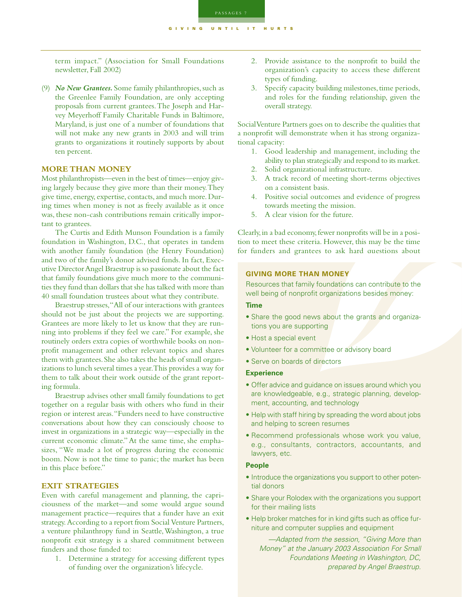GIVING UNTIL IT HURTS

term impact." (Association for Small Foundations newsletter, Fall 2002)

(9) *No New Grantees.* Some family philanthropies, such as the Greenlee Family Foundation, are only accepting proposals from current grantees.The Joseph and Harvey Meyerhoff Family Charitable Funds in Baltimore, Maryland, is just one of a number of foundations that will not make any new grants in 2003 and will trim grants to organizations it routinely supports by about ten percent.

# **MORE THAN MONEY**

Most philanthropists—even in the best of times—enjoy giving largely because they give more than their money.They give time, energy, expertise, contacts, and much more. During times when money is not as freely available as it once was, these non-cash contributions remain critically important to grantees.

The Curtis and Edith Munson Foundation is a family foundation in Washington, D.C., that operates in tandem with another family foundation (the Henry Foundation) and two of the family's donor advised funds. In fact, Executive Director Angel Braestrup is so passionate about the fact that family foundations give much more to the communities they fund than dollars that she has talked with more than 40 small foundation trustees about what they contribute.

Braestrup stresses,"All of our interactions with grantees should not be just about the projects we are supporting. Grantees are more likely to let us know that they are running into problems if they feel we care." For example, she routinely orders extra copies of worthwhile books on nonprofit management and other relevant topics and shares them with grantees.She also takes the heads of small organizations to lunch several times a year.This provides a way for them to talk about their work outside of the grant reporting formula.

Braestrup advises other small family foundations to get together on a regular basis with others who fund in their region or interest areas."Funders need to have constructive conversations about how they can consciously choose to invest in organizations in a strategic way—especially in the current economic climate." At the same time, she emphasizes, "We made a lot of progress during the economic boom. Now is not the time to panic; the market has been in this place before."

# **EXIT STRATEGIES**

Even with careful management and planning, the capriciousness of the market—and some would argue sound management practice—requires that a funder have an exit strategy.According to a report from Social Venture Partners, a venture philanthropy fund in Seattle,Washington, a true nonprofit exit strategy is a shared commitment between funders and those funded to:

1. Determine a strategy for accessing different types of funding over the organization's lifecycle.

- 2. Provide assistance to the nonprofit to build the organization's capacity to access these different types of funding.
- 3. Specify capacity building milestones, time periods, and roles for the funding relationship, given the overall strategy.

Social Venture Partners goes on to describe the qualities that a nonprofit will demonstrate when it has strong organizational capacity:

- 1. Good leadership and management, including the ability to plan strategically and respond to its market.
- 2. Solid organizational infrastructure.
- 3. A track record of meeting short-terms objectives on a consistent basis.
- 4. Positive social outcomes and evidence of progress towards meeting the mission.
- 5. A clear vision for the future.

Clearly,in a bad economy,fewer nonprofits will be in a position to meet these criteria. However, this may be the time for funders and grantees to ask hard questions about

# **GIVING MORE THAN MONEY**

Resources that family foundations can contribute to the well being of nonprofit organizations besides money:

# **Time**

- Share the good news about the grants and organizations you are supporting
- Host a special event
- Volunteer for a committee or advisory board
- Serve on boards of directors

# **Experience**

- Offer advice and guidance on issues around which you are knowledgeable, e.g., strategic planning, development, accounting, and technology
- Help with staff hiring by spreading the word about jobs and helping to screen resumes
- Recommend professionals whose work you value, e.g., consultants, contractors, accountants, and lawyers, etc.

## **People**

- Introduce the organizations you support to other potential donors
- Share your Rolodex with the organizations you support for their mailing lists
- Help broker matches for in kind gifts such as office furniture and computer supplies and equipment

—Adapted from the session, "Giving More than Money" at the January 2003 Association For Small Foundations Meeting in Washington, DC, prepared by Angel Braestrup.